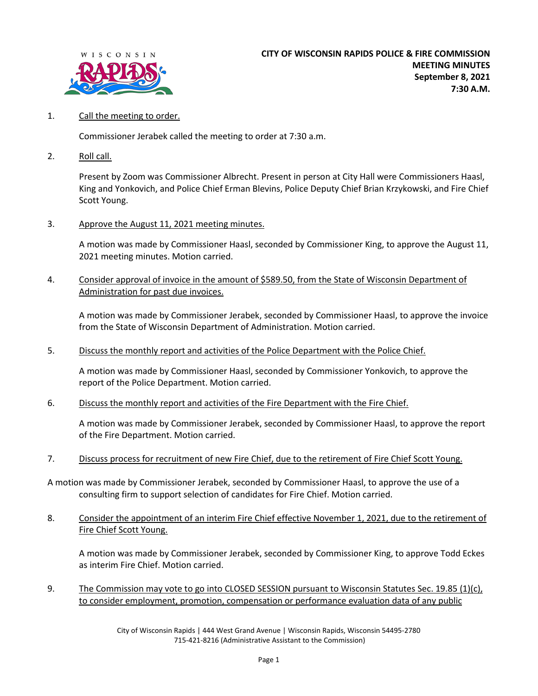

1. Call the meeting to order.

Commissioner Jerabek called the meeting to order at 7:30 a.m.

2. Roll call.

Present by Zoom was Commissioner Albrecht. Present in person at City Hall were Commissioners Haasl, King and Yonkovich, and Police Chief Erman Blevins, Police Deputy Chief Brian Krzykowski, and Fire Chief Scott Young.

3. Approve the August 11, 2021 meeting minutes.

A motion was made by Commissioner Haasl, seconded by Commissioner King, to approve the August 11, 2021 meeting minutes. Motion carried.

4. Consider approval of invoice in the amount of \$589.50, from the State of Wisconsin Department of Administration for past due invoices.

A motion was made by Commissioner Jerabek, seconded by Commissioner Haasl, to approve the invoice from the State of Wisconsin Department of Administration. Motion carried.

5. Discuss the monthly report and activities of the Police Department with the Police Chief.

A motion was made by Commissioner Haasl, seconded by Commissioner Yonkovich, to approve the report of the Police Department. Motion carried.

6. Discuss the monthly report and activities of the Fire Department with the Fire Chief.

A motion was made by Commissioner Jerabek, seconded by Commissioner Haasl, to approve the report of the Fire Department. Motion carried.

7. Discuss process for recruitment of new Fire Chief, due to the retirement of Fire Chief Scott Young.

A motion was made by Commissioner Jerabek, seconded by Commissioner Haasl, to approve the use of a consulting firm to support selection of candidates for Fire Chief. Motion carried.

8. Consider the appointment of an interim Fire Chief effective November 1, 2021, due to the retirement of Fire Chief Scott Young.

A motion was made by Commissioner Jerabek, seconded by Commissioner King, to approve Todd Eckes as interim Fire Chief. Motion carried.

9. The Commission may vote to go into CLOSED SESSION pursuant to Wisconsin Statutes Sec. 19.85 (1)(c), to consider employment, promotion, compensation or performance evaluation data of any public

City of Wisconsin Rapids | 444 West Grand Avenue | Wisconsin Rapids, Wisconsin 54495-2780 715-421-8216 (Administrative Assistant to the Commission)